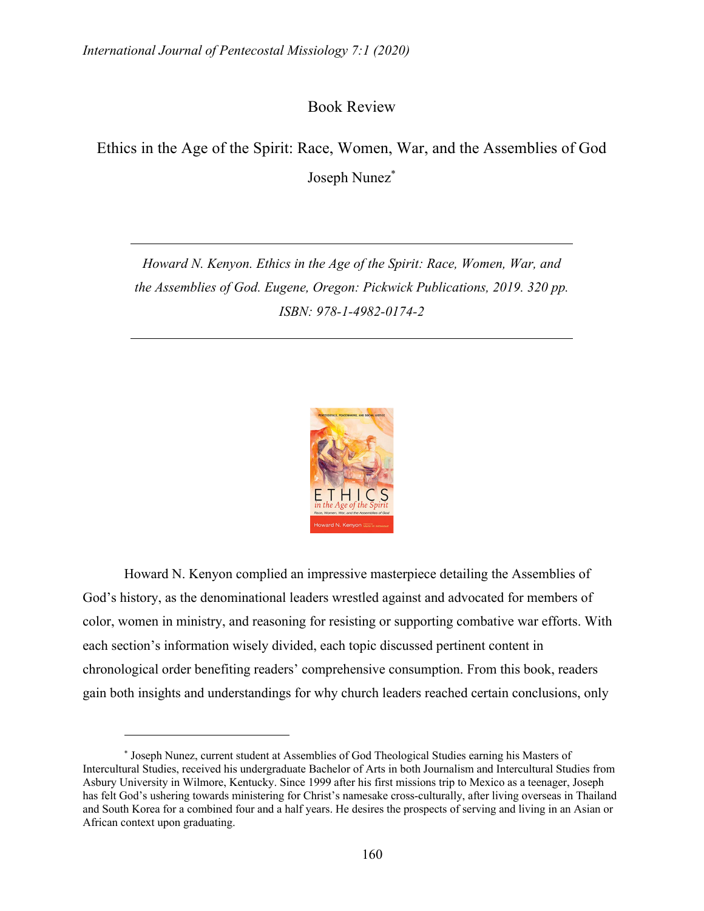Book Review

Ethics in the Age of the Spirit: Race, Women, War, and the Assemblies of God Joseph Nunez\*

*Howard N. Kenyon. Ethics in the Age of the Spirit: Race, Women, War, and the Assemblies of God. Eugene, Oregon: Pickwick Publications, 2019. 320 pp. ISBN: 978-1-4982-0174-2*



Howard N. Kenyon complied an impressive masterpiece detailing the Assemblies of God's history, as the denominational leaders wrestled against and advocated for members of color, women in ministry, and reasoning for resisting or supporting combative war efforts. With each section's information wisely divided, each topic discussed pertinent content in chronological order benefiting readers' comprehensive consumption. From this book, readers gain both insights and understandings for why church leaders reached certain conclusions, only

<sup>\*</sup> Joseph Nunez, current student at Assemblies of God Theological Studies earning his Masters of Intercultural Studies, received his undergraduate Bachelor of Arts in both Journalism and Intercultural Studies from Asbury University in Wilmore, Kentucky. Since 1999 after his first missions trip to Mexico as a teenager, Joseph has felt God's ushering towards ministering for Christ's namesake cross-culturally, after living overseas in Thailand and South Korea for a combined four and a half years. He desires the prospects of serving and living in an Asian or African context upon graduating.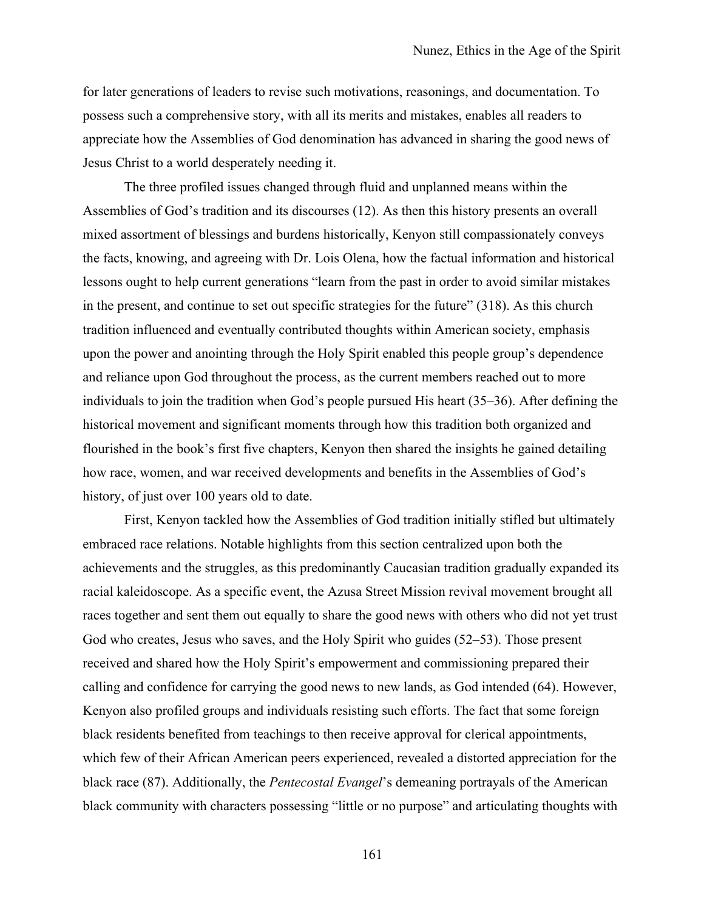for later generations of leaders to revise such motivations, reasonings, and documentation. To possess such a comprehensive story, with all its merits and mistakes, enables all readers to appreciate how the Assemblies of God denomination has advanced in sharing the good news of Jesus Christ to a world desperately needing it.

The three profiled issues changed through fluid and unplanned means within the Assemblies of God's tradition and its discourses (12). As then this history presents an overall mixed assortment of blessings and burdens historically, Kenyon still compassionately conveys the facts, knowing, and agreeing with Dr. Lois Olena, how the factual information and historical lessons ought to help current generations "learn from the past in order to avoid similar mistakes in the present, and continue to set out specific strategies for the future" (318). As this church tradition influenced and eventually contributed thoughts within American society, emphasis upon the power and anointing through the Holy Spirit enabled this people group's dependence and reliance upon God throughout the process, as the current members reached out to more individuals to join the tradition when God's people pursued His heart (35–36). After defining the historical movement and significant moments through how this tradition both organized and flourished in the book's first five chapters, Kenyon then shared the insights he gained detailing how race, women, and war received developments and benefits in the Assemblies of God's history, of just over 100 years old to date.

First, Kenyon tackled how the Assemblies of God tradition initially stifled but ultimately embraced race relations. Notable highlights from this section centralized upon both the achievements and the struggles, as this predominantly Caucasian tradition gradually expanded its racial kaleidoscope. As a specific event, the Azusa Street Mission revival movement brought all races together and sent them out equally to share the good news with others who did not yet trust God who creates, Jesus who saves, and the Holy Spirit who guides (52–53). Those present received and shared how the Holy Spirit's empowerment and commissioning prepared their calling and confidence for carrying the good news to new lands, as God intended (64). However, Kenyon also profiled groups and individuals resisting such efforts. The fact that some foreign black residents benefited from teachings to then receive approval for clerical appointments, which few of their African American peers experienced, revealed a distorted appreciation for the black race (87). Additionally, the *Pentecostal Evangel*'s demeaning portrayals of the American black community with characters possessing "little or no purpose" and articulating thoughts with

161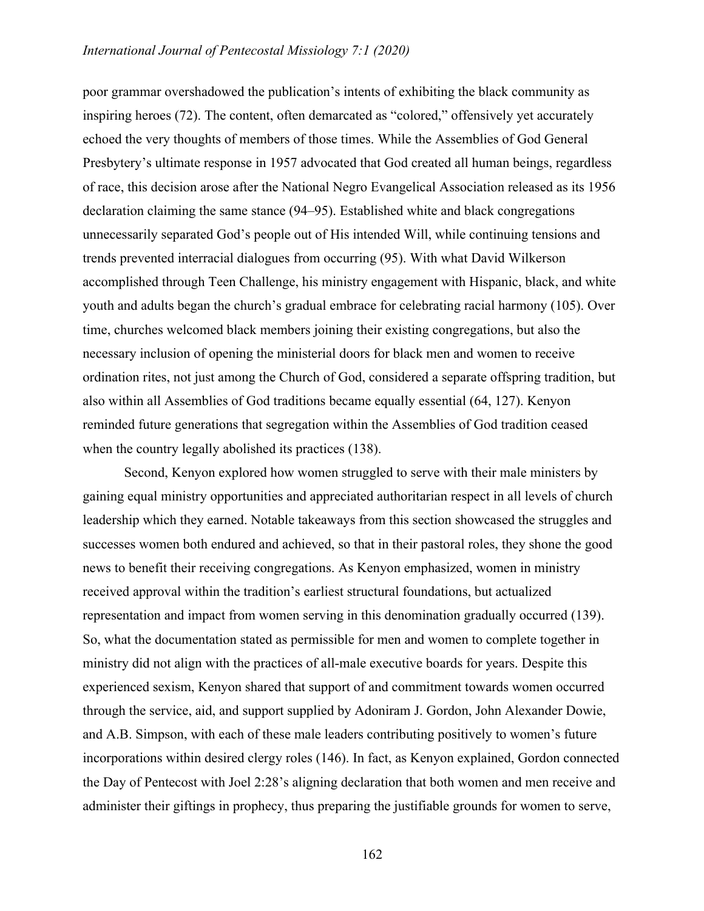poor grammar overshadowed the publication's intents of exhibiting the black community as inspiring heroes (72). The content, often demarcated as "colored," offensively yet accurately echoed the very thoughts of members of those times. While the Assemblies of God General Presbytery's ultimate response in 1957 advocated that God created all human beings, regardless of race, this decision arose after the National Negro Evangelical Association released as its 1956 declaration claiming the same stance (94–95). Established white and black congregations unnecessarily separated God's people out of His intended Will, while continuing tensions and trends prevented interracial dialogues from occurring (95). With what David Wilkerson accomplished through Teen Challenge, his ministry engagement with Hispanic, black, and white youth and adults began the church's gradual embrace for celebrating racial harmony (105). Over time, churches welcomed black members joining their existing congregations, but also the necessary inclusion of opening the ministerial doors for black men and women to receive ordination rites, not just among the Church of God, considered a separate offspring tradition, but also within all Assemblies of God traditions became equally essential (64, 127). Kenyon reminded future generations that segregation within the Assemblies of God tradition ceased when the country legally abolished its practices (138).

Second, Kenyon explored how women struggled to serve with their male ministers by gaining equal ministry opportunities and appreciated authoritarian respect in all levels of church leadership which they earned. Notable takeaways from this section showcased the struggles and successes women both endured and achieved, so that in their pastoral roles, they shone the good news to benefit their receiving congregations. As Kenyon emphasized, women in ministry received approval within the tradition's earliest structural foundations, but actualized representation and impact from women serving in this denomination gradually occurred (139). So, what the documentation stated as permissible for men and women to complete together in ministry did not align with the practices of all-male executive boards for years. Despite this experienced sexism, Kenyon shared that support of and commitment towards women occurred through the service, aid, and support supplied by Adoniram J. Gordon, John Alexander Dowie, and A.B. Simpson, with each of these male leaders contributing positively to women's future incorporations within desired clergy roles (146). In fact, as Kenyon explained, Gordon connected the Day of Pentecost with Joel 2:28's aligning declaration that both women and men receive and administer their giftings in prophecy, thus preparing the justifiable grounds for women to serve,

162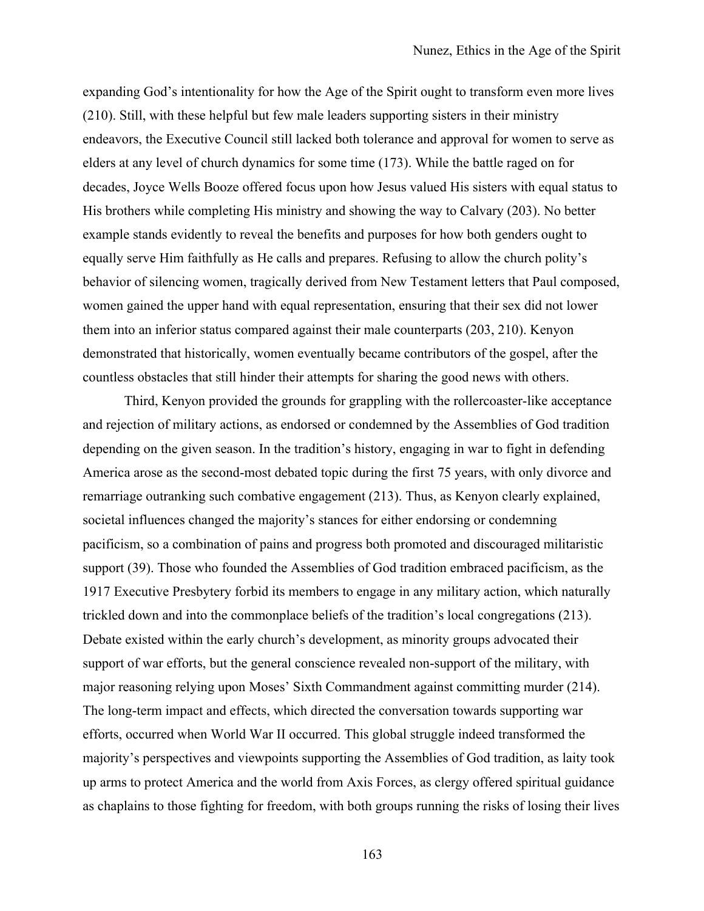expanding God's intentionality for how the Age of the Spirit ought to transform even more lives (210). Still, with these helpful but few male leaders supporting sisters in their ministry endeavors, the Executive Council still lacked both tolerance and approval for women to serve as elders at any level of church dynamics for some time (173). While the battle raged on for decades, Joyce Wells Booze offered focus upon how Jesus valued His sisters with equal status to His brothers while completing His ministry and showing the way to Calvary (203). No better example stands evidently to reveal the benefits and purposes for how both genders ought to equally serve Him faithfully as He calls and prepares. Refusing to allow the church polity's behavior of silencing women, tragically derived from New Testament letters that Paul composed, women gained the upper hand with equal representation, ensuring that their sex did not lower them into an inferior status compared against their male counterparts (203, 210). Kenyon demonstrated that historically, women eventually became contributors of the gospel, after the countless obstacles that still hinder their attempts for sharing the good news with others.

Third, Kenyon provided the grounds for grappling with the rollercoaster-like acceptance and rejection of military actions, as endorsed or condemned by the Assemblies of God tradition depending on the given season. In the tradition's history, engaging in war to fight in defending America arose as the second-most debated topic during the first 75 years, with only divorce and remarriage outranking such combative engagement (213). Thus, as Kenyon clearly explained, societal influences changed the majority's stances for either endorsing or condemning pacificism, so a combination of pains and progress both promoted and discouraged militaristic support (39). Those who founded the Assemblies of God tradition embraced pacificism, as the 1917 Executive Presbytery forbid its members to engage in any military action, which naturally trickled down and into the commonplace beliefs of the tradition's local congregations (213). Debate existed within the early church's development, as minority groups advocated their support of war efforts, but the general conscience revealed non-support of the military, with major reasoning relying upon Moses' Sixth Commandment against committing murder (214). The long-term impact and effects, which directed the conversation towards supporting war efforts, occurred when World War II occurred. This global struggle indeed transformed the majority's perspectives and viewpoints supporting the Assemblies of God tradition, as laity took up arms to protect America and the world from Axis Forces, as clergy offered spiritual guidance as chaplains to those fighting for freedom, with both groups running the risks of losing their lives

163